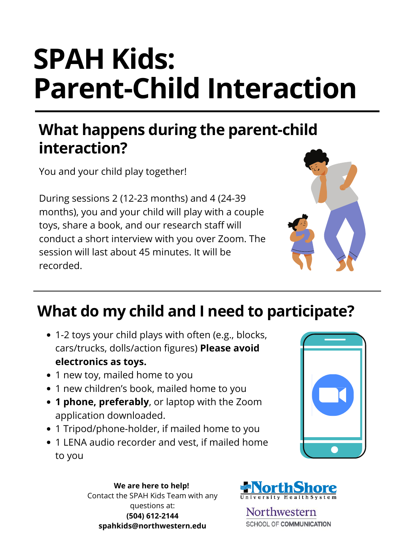- 1-2 toys your child plays with often (e.g., blocks, cars/trucks, dolls/action figures) **Please avoid electronics as toys.**
- 1 new toy, mailed home to you
- 1 new children's book, mailed home to you
- **1 phone, preferably**, or laptop with the Zoom application downloaded.
- 1 Tripod/phone-holder, if mailed home to you
- 1 LENA audio recorder and vest, if mailed home to you



You and your child play together!

During sessions 2 (12-23 months) and 4 (24-39 months), you and your child will play with a couple toys, share a book, and our research staff will conduct a short interview with you over Zoom. The session will last about 45 minutes. It will be recorded.



# **SPAH Kids: Parent-Child Interaction**

## **What happens during the parent-child interaction?**

## **What do my child and I need to participate?**

**We are here to help!** Contact the SPAH Kids Team with any questions at: **(504) 612-2144 spahkids@northwestern.edu**



Northwestern SCHOOL OF COMMUNICATION